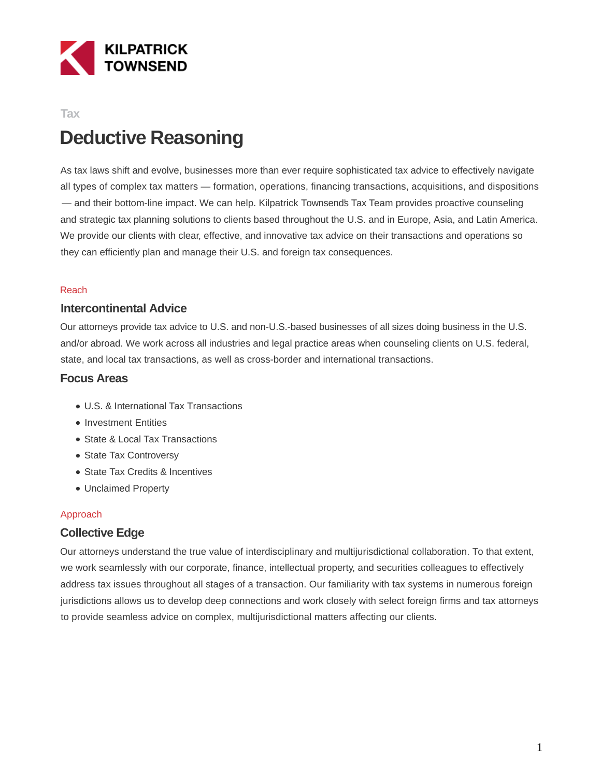

## **Tax Deductive Reasoning**

As tax laws shift and evolve, businesses more than ever require sophisticated tax advice to effectively navigate all types of complex tax matters — formation, operations, financing transactions, acquisitions, and dispositions — and their bottom-line impact. We can help. Kilpatrick Townsend's Tax Team provides proactive counseling and strategic tax planning solutions to clients based throughout the U.S. and in Europe, Asia, and Latin America. We provide our clients with clear, effective, and innovative tax advice on their transactions and operations so they can efficiently plan and manage their U.S. and foreign tax consequences.

#### Reach

#### **Intercontinental Advice**

Our attorneys provide tax advice to U.S. and non-U.S.-based businesses of all sizes doing business in the U.S. and/or abroad. We work across all industries and legal practice areas when counseling clients on U.S. federal, state, and local tax transactions, as well as cross-border and international transactions.

#### **Focus Areas**

- U.S. & International Tax Transactions
- Investment Entities
- State & Local Tax Transactions
- State Tax Controversy
- State Tax Credits & Incentives
- Unclaimed Property

#### Approach

#### **Collective Edge**

Our attorneys understand the true value of interdisciplinary and multijurisdictional collaboration. To that extent, we work seamlessly with our corporate, finance, intellectual property, and securities colleagues to effectively address tax issues throughout all stages of a transaction. Our familiarity with tax systems in numerous foreign jurisdictions allows us to develop deep connections and work closely with select foreign firms and tax attorneys to provide seamless advice on complex, multijurisdictional matters affecting our clients.